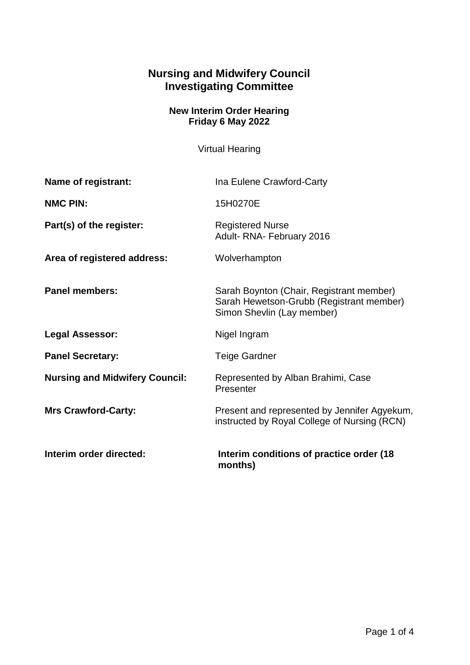## **Nursing and Midwifery Council Investigating Committee**

## **New Interim Order Hearing Friday 6 May 2022**

Virtual Hearing

| Name of registrant:                   | Ina Eulene Crawford-Carty                                                                                          |
|---------------------------------------|--------------------------------------------------------------------------------------------------------------------|
| <b>NMC PIN:</b>                       | 15H0270E                                                                                                           |
| Part(s) of the register:              | <b>Registered Nurse</b><br>Adult-RNA-February 2016                                                                 |
| Area of registered address:           | Wolverhampton                                                                                                      |
| <b>Panel members:</b>                 | Sarah Boynton (Chair, Registrant member)<br>Sarah Hewetson-Grubb (Registrant member)<br>Simon Shevlin (Lay member) |
| <b>Legal Assessor:</b>                | Nigel Ingram                                                                                                       |
| <b>Panel Secretary:</b>               | <b>Teige Gardner</b>                                                                                               |
| <b>Nursing and Midwifery Council:</b> | Represented by Alban Brahimi, Case<br>Presenter                                                                    |
| <b>Mrs Crawford-Carty:</b>            | Present and represented by Jennifer Agyekum,<br>instructed by Royal College of Nursing (RCN)                       |
| Interim order directed:               | Interim conditions of practice order (18)<br>months)                                                               |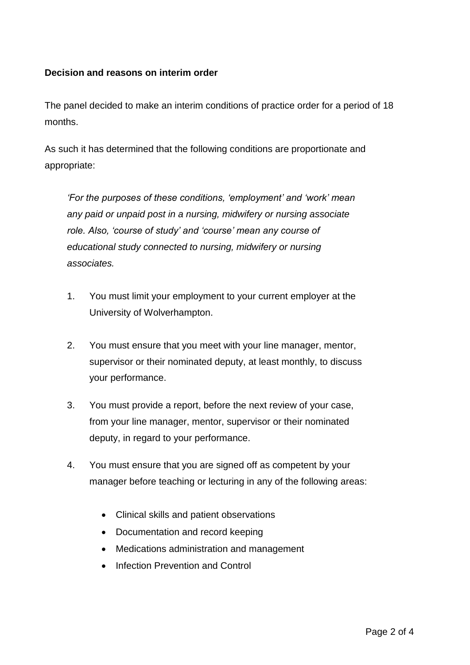## **Decision and reasons on interim order**

The panel decided to make an interim conditions of practice order for a period of 18 months.

As such it has determined that the following conditions are proportionate and appropriate:

*'For the purposes of these conditions, 'employment' and 'work' mean any paid or unpaid post in a nursing, midwifery or nursing associate role. Also, 'course of study' and 'course' mean any course of educational study connected to nursing, midwifery or nursing associates.*

- 1. You must limit your employment to your current employer at the University of Wolverhampton.
- 2. You must ensure that you meet with your line manager, mentor, supervisor or their nominated deputy, at least monthly, to discuss your performance.
- 3. You must provide a report, before the next review of your case, from your line manager, mentor, supervisor or their nominated deputy, in regard to your performance.
- 4. You must ensure that you are signed off as competent by your manager before teaching or lecturing in any of the following areas:
	- Clinical skills and patient observations
	- Documentation and record keeping
	- Medications administration and management
	- Infection Prevention and Control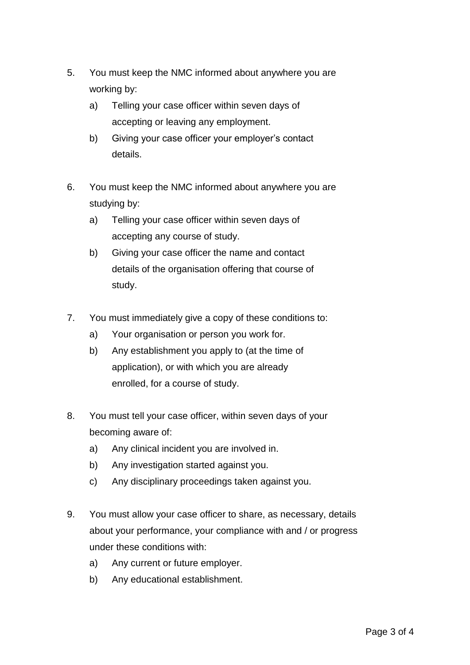- 5. You must keep the NMC informed about anywhere you are working by:
	- a) Telling your case officer within seven days of accepting or leaving any employment.
	- b) Giving your case officer your employer's contact details.
- 6. You must keep the NMC informed about anywhere you are studying by:
	- a) Telling your case officer within seven days of accepting any course of study.
	- b) Giving your case officer the name and contact details of the organisation offering that course of study.
- 7. You must immediately give a copy of these conditions to:
	- a) Your organisation or person you work for.
	- b) Any establishment you apply to (at the time of application), or with which you are already enrolled, for a course of study.
- 8. You must tell your case officer, within seven days of your becoming aware of:
	- a) Any clinical incident you are involved in.
	- b) Any investigation started against you.
	- c) Any disciplinary proceedings taken against you.
- 9. You must allow your case officer to share, as necessary, details about your performance, your compliance with and / or progress under these conditions with:
	- a) Any current or future employer.
	- b) Any educational establishment.